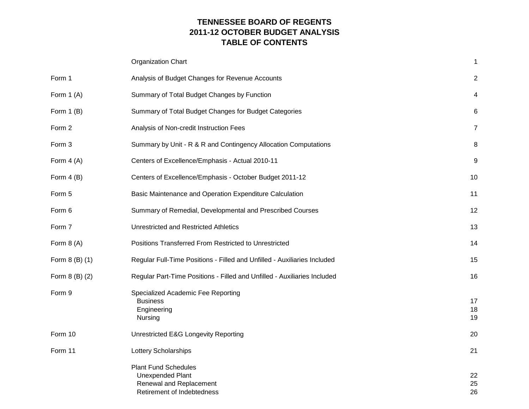# **TENNESSEE BOARD OF REGENTS 2011-12 OCTOBER BUDGET ANALYSIS TABLE OF CONTENTS**

|                | <b>Organization Chart</b>                                                                                       | 1              |
|----------------|-----------------------------------------------------------------------------------------------------------------|----------------|
| Form 1         | Analysis of Budget Changes for Revenue Accounts                                                                 | $\overline{2}$ |
| Form $1(A)$    | Summary of Total Budget Changes by Function                                                                     | 4              |
| Form $1(B)$    | Summary of Total Budget Changes for Budget Categories                                                           | 6              |
| Form 2         | Analysis of Non-credit Instruction Fees                                                                         | $\overline{7}$ |
| Form 3         | Summary by Unit - R & R and Contingency Allocation Computations                                                 | 8              |
| Form $4(A)$    | Centers of Excellence/Emphasis - Actual 2010-11                                                                 | 9              |
| Form $4(B)$    | Centers of Excellence/Emphasis - October Budget 2011-12                                                         | 10             |
| Form 5         | Basic Maintenance and Operation Expenditure Calculation                                                         | 11             |
| Form 6         | Summary of Remedial, Developmental and Prescribed Courses                                                       | 12             |
| Form 7         | <b>Unrestricted and Restricted Athletics</b>                                                                    | 13             |
| Form $8(A)$    | Positions Transferred From Restricted to Unrestricted                                                           | 14             |
| Form 8 (B) (1) | Regular Full-Time Positions - Filled and Unfilled - Auxiliaries Included                                        | 15             |
| Form 8 (B) (2) | Regular Part-Time Positions - Filled and Unfilled - Auxiliaries Included                                        | 16             |
| Form 9         | Specialized Academic Fee Reporting<br><b>Business</b><br>Engineering<br>Nursing                                 | 17<br>18<br>19 |
| Form 10        | Unrestricted E&G Longevity Reporting                                                                            | 20             |
| Form 11        | Lottery Scholarships                                                                                            | 21             |
|                | <b>Plant Fund Schedules</b><br><b>Unexpended Plant</b><br>Renewal and Replacement<br>Retirement of Indebtedness | 22<br>25<br>26 |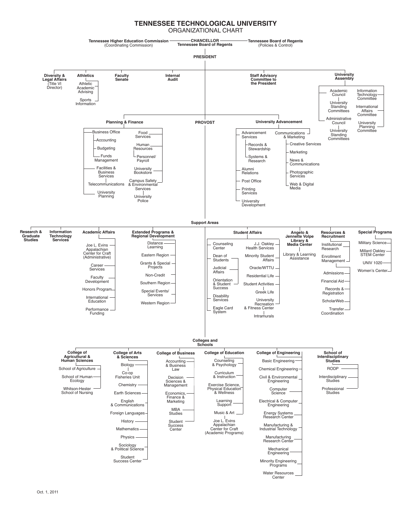#### **TENNESSEE TECHNOLOGICAL UNIVERSITY** ORGANIZATIONAL CHART

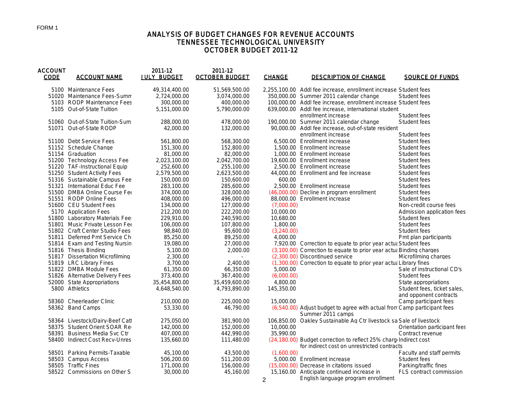## ANALYSIS OF BUDGET CHANGES FOR REVENUE ACCOUNTS TENNESSEE TECHNOLOGICAL UNIVERSITY OCTOBER BUDGET 2011-12

| ACCOUNT<br><b>CODE</b> | <b>ACCOUNT NAME</b>             | 2011-12<br><b>JULY BUDGET</b> | 2011-12<br><b>OCTOBER BUDGET</b> | <b>CHANGE</b> | <b>DESCRIPTION OF CHANGE</b>                                                                  | SOURCE OF FUNDS              |
|------------------------|---------------------------------|-------------------------------|----------------------------------|---------------|-----------------------------------------------------------------------------------------------|------------------------------|
|                        | 5100 Maintenance Fees           | 49,314,400.00                 | 51,569,500.00                    |               | 2,255,100.00 Addl fee increase, enrollment increase Student fees                              |                              |
|                        | 51020 Maintenance Fees-Summ     | 2.724.000.00                  | 3.074.000.00                     |               | 350,000.00 Summer 2011 calendar change                                                        | Student fees                 |
|                        | 5103 RODP Maintenance Fees      | 300,000.00                    | 400,000.00                       |               | 100,000.00 Addl fee increase, enrollment increase Student fees                                |                              |
|                        | 5105 Out-of-State Tuition       | 5.151.000.00                  | 5.790.000.00                     |               | 639,000.00 Addl fee increase, international student                                           |                              |
|                        |                                 |                               |                                  |               | enrollment increase                                                                           | Student fees                 |
|                        | 51060 Out-of-State Tuition-Sum  | 288,000.00                    | 478,000.00                       |               | 190,000.00 Summer 2011 calendar change                                                        | Student fees                 |
|                        | 51071 Out-of-State RODP         | 42,000.00                     | 132,000.00                       |               | 90,000.00 Addl fee increase, out-of-state resident                                            |                              |
|                        |                                 |                               |                                  |               | enrollment increase                                                                           | Student fees                 |
|                        | 51100 Debt Service Fees         | 561,800.00                    | 568,300.00                       |               | 6,500.00 Enrollment increase                                                                  | Student fees                 |
|                        | 51152 Schedule Change           | 151,300.00                    | 152,800.00                       |               | 1,500.00 Enrollment increase                                                                  | Student fees                 |
|                        | 51154 Graduation                | 81,000.00                     | 82,000.00                        |               | 1,000.00 Enrollment increase                                                                  | Student fees                 |
|                        | 51200 Technology Access Fee     | 2,023,100.00                  | 2,042,700.00                     |               | 19,600.00 Enrollment increase                                                                 | Student fees                 |
|                        | 51220 TAF-Instructional Equip   | 252,600.00                    | 255,100.00                       |               | 2,500.00 Enrollment increase                                                                  | Student fees                 |
|                        | 51250 Student Activity Fees     | 2,579,500.00                  | 2,623,500.00                     |               | 44,000.00 Enrollment and fee increase                                                         | Student fees                 |
|                        | 51316 Sustainable Campus Fee    | 150,000.00                    | 150,600.00                       | 600.00        |                                                                                               | Student fees                 |
|                        | 51321 International Educ Fee    | 283,100.00                    | 285,600.00                       |               | 2,500.00 Enrollment increase                                                                  | Student fees                 |
|                        | 51500 DMBA Online Course Fee    | 374,000.00                    | 328,000.00                       |               | (46,000.00) Decline in program enrollment                                                     | Student fees                 |
|                        | 51551 RODP Online Fees          | 408,000.00                    | 496,000.00                       |               | 88,000.00 Enrollment increase                                                                 | Student fees                 |
|                        | 51600 CEU Student Fees          | 134,000.00                    | 127,000.00                       | (7.000.00)    |                                                                                               | Non-credit course fees       |
|                        | 5170 Application Fees           | 212,200.00                    | 222,200.00                       | 10,000.00     |                                                                                               | Admission application fees   |
|                        | 51800 Laboratory Materials Fee  | 229,910.00                    | 240,590.00                       | 10,680.00     |                                                                                               | Student fees                 |
|                        | 51801 Music Private Lesson Fee  | 106,000.00                    | 107,800.00                       | 1,800.00      |                                                                                               | Student fees                 |
|                        | 51802 Craft Center Studio Fees  | 98,840.00                     | 95,600.00                        | (3,240.00)    |                                                                                               | Student fees                 |
|                        | 51811 Deferred Pmt Service Ch   | 85,250.00                     | 89,250.00                        | 4,000.00      |                                                                                               | Pmt plan participants        |
|                        | 51814 Exam and Testing Nursin   | 19,080.00                     | 27,000.00                        |               | 7,920.00 Correction to equate to prior year actua Student fees                                |                              |
|                        | 51816 Thesis Binding            | 5,100.00                      | 2,000.00                         |               | (3,100.00) Correction to equate to prior year actua Binding charges                           |                              |
|                        | 51817 Dissertation Microfilming | 2,300.00                      |                                  |               | (2,300.00) Discontinued service                                                               | Microfilming charges         |
|                        | 51819 LRC Library Fines         | 3,700.00                      | 2,400.00                         |               | (1,300.00) Correction to equate to prior year actual Library fines                            |                              |
|                        | 51822 DMBA Module Fees          | 61,350.00                     | 66,350.00                        | 5,000.00      |                                                                                               | Sale of instructional CD's   |
|                        | 51826 Alternative Delivery Fees | 373,400.00                    | 367,400.00                       | (6,000.00)    |                                                                                               | Student fees                 |
|                        | 52000 State Appropriations      | 35,454,800.00                 | 35,459,600.00                    | 4,800.00      |                                                                                               | State appropriations         |
|                        | 5800 Athletics                  | 4,648,540.00                  | 4,793,890.00                     | 145,350.00    |                                                                                               | Student fees, ticket sales,  |
|                        |                                 |                               |                                  |               |                                                                                               | and opponent contracts       |
|                        | 58360 Cheerleader Clinic        | 210,000.00                    | 225,000.00                       | 15,000.00     |                                                                                               | Camp participant fees        |
|                        | 58362 Band Camps                | 53,330.00                     | 46,790.00                        |               | (6,540.00) Adjust budget to agree with actual from Camp participant fees<br>Summer 2011 camps |                              |
|                        | 58364 Livestock/Dairy-Beef Catl | 275,050.00                    | 381,900.00                       |               | 106,850.00 Oakley Sustainable Ag Ctr livestock sa Sale of livestock                           |                              |
|                        | 58375 Student Orient SOAR Re    | 142,000.00                    | 152,000.00                       | 10,000.00     |                                                                                               | Orientation participant fees |
|                        | 58391 Business Media Svc Ctr    | 407,000.00                    | 442,990.00                       | 35,990.00     |                                                                                               | Contract revenue             |
|                        | 58400 Indirect Cost Recv-Unres  | 135,660.00                    | 111,480.00                       |               | (24,180.00) Budget correction to reflect 25% charg Indirect cost                              |                              |
|                        |                                 |                               |                                  |               | for indirect cost on unrestricted contracts                                                   |                              |
|                        | 58501 Parking Permits-Taxable   | 45,100.00                     | 43,500.00                        | (1,600.00)    |                                                                                               | Faculty and staff permits    |
|                        | 58503 Campus Access             | 506,200.00                    | 511,200.00                       |               | 5,000.00 Enrollment increase                                                                  | Student fees                 |
|                        | 58505 Traffic Fines             | 171,000.00                    | 156,000.00                       |               | (15,000,00) Decrease in citations issued                                                      | Parking/traffic fines        |
|                        | 58522 Commissions on Other S    | 30,000.00                     | 45,160.00                        | $\mathcal{P}$ | 15,160.00 Anticipate continued increase in<br>English language program enrollment             | FLS contract commission      |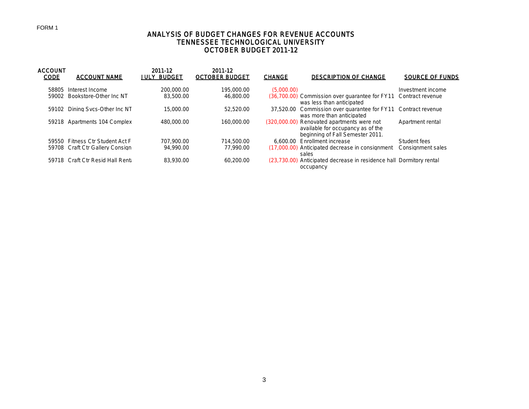# ANALYSIS OF BUDGET CHANGES FOR REVENUE ACCOUNTS TENNESSEE TECHNOLOGICAL UNIVERSITY OCTOBER BUDGET 2011-12

| <b>ACCOUNT</b><br><b>CODE</b> | <b>ACCOUNT NAME</b>             | 2011-12<br><b>JULY BUDGET</b> | 2011-12<br><b>OCTOBER BUDGET</b> | <b>CHANGE</b> | <b>DESCRIPTION OF CHANGE</b>                                                                                        | <b>SOURCE OF FUNDS</b> |
|-------------------------------|---------------------------------|-------------------------------|----------------------------------|---------------|---------------------------------------------------------------------------------------------------------------------|------------------------|
| 58805                         | Interest Income                 | 200,000.00                    | 195,000.00                       | (5.000.00)    |                                                                                                                     | Investment income      |
| 59002                         | Bookstore-Other Inc NT          | 83,500.00                     | 46,800,00                        |               | (36.700.00) Commission over quarantee for FY11<br>was less than anticipated                                         | Contract revenue       |
| 59102                         | Dining Sycs-Other Inc NT        | 15.000.00                     | 52.520.00                        |               | 37.520.00 Commission over quarantee for FY11<br>was more than anticipated                                           | Contract revenue       |
|                               | 59218 Apartments 104 Complex    | 480,000.00                    | 160,000.00                       |               | (320,000,00) Renovated apartments were not<br>available for occupancy as of the<br>beginning of Fall Semester 2011. | Apartment rental       |
|                               | 59550 Fitness Ctr Student Act F | 707.900.00                    | 714.500.00                       | 6.600.00      | Enrollment increase                                                                                                 | Student fees           |
|                               | 59708 Craft Ctr Gallery Consign | 94,990.00                     | 77.990.00                        |               | (17,000,00) Anticipated decrease in consignment<br>sales                                                            | Consignment sales      |
|                               | 59718 Craft Ctr Resid Hall Rent | 83,930.00                     | 60,200.00                        |               | (23.730.00) Anticipated decrease in residence hall Dormitory rental<br>occupancy                                    |                        |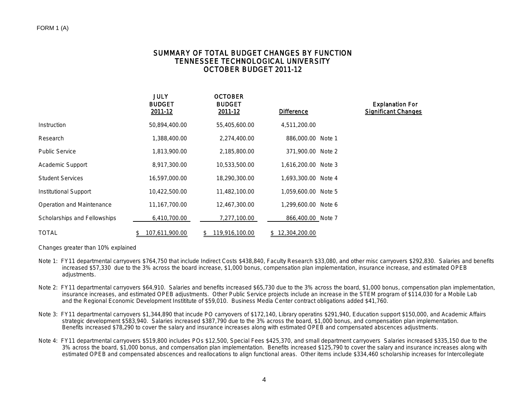## SUMMARY OF TOTAL BUDGET CHANGES BY FUNCTION TENNESSEE TECHNOLOGICAL UNIVERSITY OCTOBER BUDGET 2011-12

|                              | JULY<br><b>BUDGET</b><br>2011-12 | <b>OCTOBER</b><br><b>BUDGET</b><br>2011-12 | <b>Difference</b>   | <b>Explanation For</b><br><b>Significant Changes</b> |
|------------------------------|----------------------------------|--------------------------------------------|---------------------|------------------------------------------------------|
| Instruction                  | 50,894,400.00                    | 55,405,600.00                              | 4,511,200.00        |                                                      |
| Research                     | 1,388,400.00                     | 2,274,400.00                               | 886,000.00 Note 1   |                                                      |
| <b>Public Service</b>        | 1,813,900.00                     | 2,185,800.00                               | 371,900.00 Note 2   |                                                      |
| Academic Support             | 8,917,300.00                     | 10,533,500.00                              | 1.616.200.00 Note 3 |                                                      |
| <b>Student Services</b>      | 16,597,000.00                    | 18,290,300.00                              | 1,693,300.00 Note 4 |                                                      |
| Institutional Support        | 10,422,500.00                    | 11,482,100.00                              | 1,059,600.00 Note 5 |                                                      |
| Operation and Maintenance    | 11,167,700.00                    | 12,467,300.00                              | 1.299.600.00 Note 6 |                                                      |
| Scholarships and Fellowships | 6,410,700.00                     | 7,277,100.00                               | 866,400.00 Note 7   |                                                      |
| <b>TOTAL</b>                 | 107,611,900.00                   | 119,916,100.00<br>\$                       | \$12,304,200.00     |                                                      |

Changes greater than 10% explained

- Note 1: FY11 departmental carryovers \$764,750 that include Indirect Costs \$438,840, Faculty Research \$33,080, and other misc carryovers \$292,830. Salaries and benefits increased \$57,330 due to the 3% across the board increase, \$1,000 bonus, compensation plan implementation, insurance increase, and estimated OPEB adiustments.
- Note 2: FY11 departmental carryovers \$64,910. Salaries and benefits increased \$65,730 due to the 3% across the board, \$1,000 bonus, compensation plan implementation, insurance increases, and estimated OPEB adjustments. Other Public Service projects include an increase in the STEM program of \$114,030 for a Mobile Lab and the Regional Economic Development Instititute of \$59,010. Business Media Center contract obligations added \$41,760.
- Note 3: FY11 departmental carryovers \$1,344,890 that incude PO carryovers of \$172,140, Library operatins \$291,940, Education support \$150,000, and Academic Affairs strategic development \$583,940. Salaries increased \$387,790 due to the 3% across the board, \$1,000 bonus, and compensation plan implementation. Benefits increased \$78,290 to cover the salary and insurance increases along with estimated OPEB and compensated abscences adjustments.
- Note 4: FY11 departmental carryovers \$519,800 includes POs \$12,500, Special Fees \$425,370, and small department carryovers Salaries increased \$335,150 due to the 3% across the board, \$1,000 bonus, and compensation plan implementation. Benefits increased \$125,790 to cover the salary and insurance increases along with estimated OPEB and compensated abscences and reallocations to align functional areas. Other items include \$334,460 scholarship increases for Intercollegiate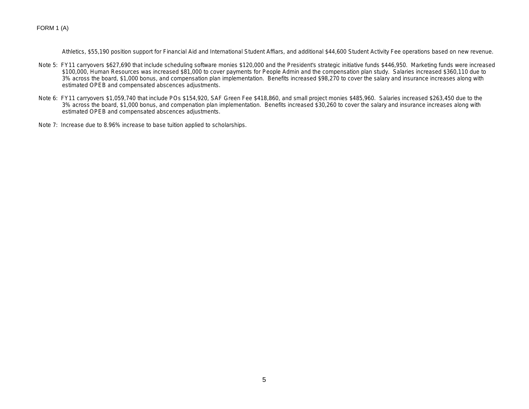FORM 1 (A)

Athletics, \$55,190 position support for Financial Aid and International Student Affiars, and additional \$44,600 Student Activity Fee operations based on new revenue.

- Note 5: FY11 carryovers \$627,690 that include scheduling software monies \$120,000 and the President's strategic initiative funds \$446,950. Marketing funds were increased \$100,000, Human Resources was increased \$81,000 to cover payments for People Admin and the compensation plan study. Salaries increased \$360,110 due to 3% across the board, \$1,000 bonus, and compensation plan implementation. Benefits increased \$98,270 to cover the salary and insurance increases along with estimated OPEB and compensated abscences adjustments.
- Note 6: FY11 carryovers \$1,059,740 that include POs \$154,920, SAF Green Fee \$418,860, and small project monies \$485,960. Salaries increased \$263,450 due to the 3% across the board, \$1,000 bonus, and compenation plan implementation. Benefits increased \$30,260 to cover the salary and insurance increases along with estimated OPEB and compensated abscences adjustments.
- Note 7: Increase due to 8.96% increase to base tuition applied to scholarships.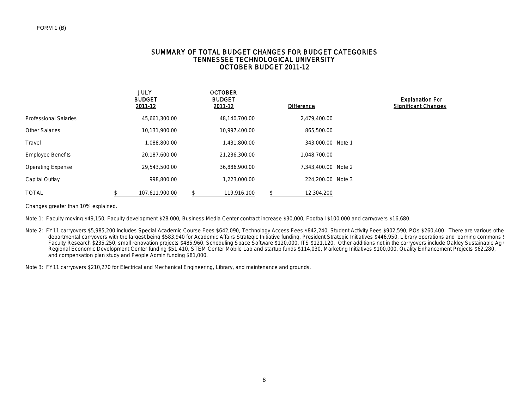### SUMMARY OF TOTAL BUDGET CHANGES FOR BUDGET CATEGORIES TENNESSEE TECHNOLOGICAL UNIVERSITY OCTOBER BUDGET 2011-12

|                              | <b>JULY</b><br><b>BUDGET</b><br>2011-12 | <b>OCTOBER</b><br><b>BUDGET</b><br>2011-12 | <b>Difference</b>   | <b>Explanation For</b><br><b>Significant Changes</b> |
|------------------------------|-----------------------------------------|--------------------------------------------|---------------------|------------------------------------------------------|
| <b>Professional Salaries</b> | 45,661,300.00                           | 48,140,700.00                              | 2,479,400.00        |                                                      |
| <b>Other Salaries</b>        | 10,131,900.00                           | 10,997,400.00                              | 865,500.00          |                                                      |
| Travel                       | 1,088,800.00                            | 1,431,800.00                               | 343,000.00 Note 1   |                                                      |
| <b>Employee Benefits</b>     | 20,187,600.00                           | 21,236,300.00                              | 1,048,700.00        |                                                      |
| <b>Operating Expense</b>     | 29,543,500.00                           | 36,886,900.00                              | 7.343.400.00 Note 2 |                                                      |
| Capital Outlay               | 998,800.00                              | ,223,000.00                                | 224,200.00 Note 3   |                                                      |
| <b>TOTAL</b>                 | \$<br>107,611,900.00                    | 119,916,100                                | \$<br>12,304,200    |                                                      |

Changes greater than 10% explained.

Note 1: Faculty moving \$49,150, Faculty development \$28,000, Business Media Center contract increase \$30,000, Football \$100,000 and carryovers \$16,680.

Note 2: FY11 carryovers \$5,985,200 includes Special Academic Course Fees \$642,090, Technology Access Fees \$842,240, Student Activity Fees \$902,590, POs \$260,400. There are various other departmental carryovers with the largest being \$583,940 for Academic Affairs Strategic Initiative funding, President Strategic Initiatives \$446,950, Library operations and learning commons \$ Faculty Research \$235,250, small renovation projects \$485,960, Scheduling Space Software \$120,000, ITS \$121,120. Other additions not in the carryovers include Oakley Sustainable Ag C Regional Economic Development Center funding \$51,410, STEM Center Mobile Lab and startup funds \$114,030, Marketing Initiatives \$100,000, Quality Enhancement Projects \$62,280, and compensation plan study and People Admin funding \$81,000.

Note 3: FY11 carryovers \$210,270 for Electrical and Mechanical Engineering, Library, and maintenance and grounds.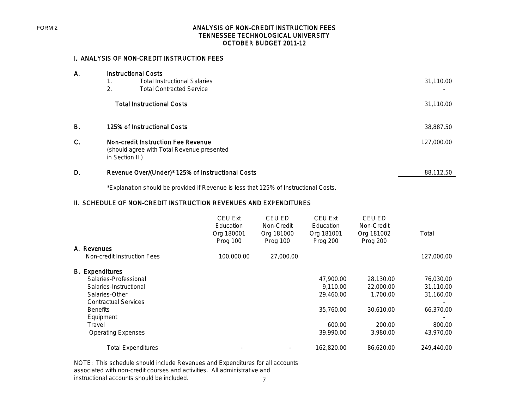## ANALYSIS OF NON-CREDIT INSTRUCTION FEES TENNESSEE TECHNOLOGICAL UNIVERSITY OCTOBER BUDGET 2011-12

# I. ANALYSIS OF NON-CREDIT INSTRUCTION FEES

| 31,110.00  |
|------------|
|            |
|            |
| 31,110.00  |
| 38,887.50  |
| 127,000.00 |
|            |
|            |
| 88,112.50  |
|            |

\*Explanation should be provided if Revenue is less that 125% of Instructional Costs.

# II. SCHEDULE OF NON-CREDIT INSTRUCTION REVENUES AND EXPENDITURES

| <b>CEU Ext</b><br>Education<br>Org 180001<br>Prog 100 | CEU ED<br>Non-Credit<br>Org 181000<br>Prog 100 | <b>CEU Ext</b><br>Education<br>Org 181001<br><b>Prog 200</b> | CEU ED<br>Non-Credit<br>Org 181002<br>Prog 200 | Total      |
|-------------------------------------------------------|------------------------------------------------|--------------------------------------------------------------|------------------------------------------------|------------|
|                                                       |                                                |                                                              |                                                |            |
|                                                       |                                                |                                                              |                                                | 127,000.00 |
|                                                       |                                                |                                                              |                                                |            |
|                                                       |                                                | 47,900.00                                                    | 28,130.00                                      | 76,030.00  |
|                                                       |                                                | 9,110.00                                                     | 22,000.00                                      | 31,110.00  |
|                                                       |                                                | 29,460.00                                                    | 1,700.00                                       | 31,160.00  |
|                                                       |                                                |                                                              |                                                |            |
|                                                       |                                                | 35,760.00                                                    | 30,610.00                                      | 66,370.00  |
|                                                       |                                                |                                                              |                                                |            |
|                                                       |                                                | 600.00                                                       | 200.00                                         | 800.00     |
|                                                       |                                                | 39,990.00                                                    | 3,980.00                                       | 43,970.00  |
|                                                       |                                                | 162,820.00                                                   | 86.620.00                                      | 249,440.00 |
|                                                       | 100,000.00                                     | 27,000.00                                                    |                                                |            |

NOTE: This schedule should include Revenues and Expenditures for all accounts associated with non-credit courses and activities. All administrative and instructional accounts should be included.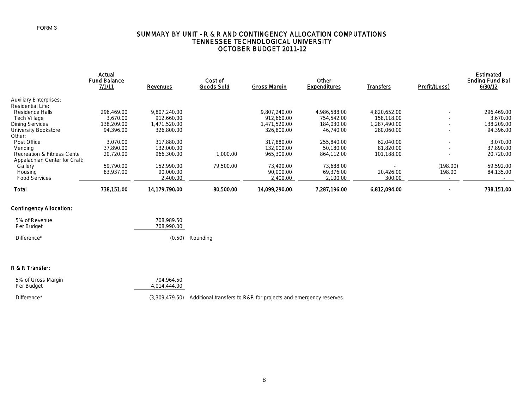## SUMMARY BY UNIT - R & R AND CONTINGENCY ALLOCATION COMPUTATIONS TENNESSEE TECHNOLOGICAL UNIVERSITY OCTOBER BUDGET 2011-12

|                               | Actual<br><b>Fund Balance</b> |                 | Cost of           |                     | Other               |                  |               | <b>Estimated</b><br><b>Ending Fund Bal</b> |
|-------------------------------|-------------------------------|-----------------|-------------------|---------------------|---------------------|------------------|---------------|--------------------------------------------|
|                               | 7/1/11                        | <b>Revenues</b> | <b>Goods Sold</b> | <b>Gross Margin</b> | <b>Expenditures</b> | <b>Transfers</b> | Profit/(Loss) | 6/30/12                                    |
| <b>Auxiliary Enterprises:</b> |                               |                 |                   |                     |                     |                  |               |                                            |
| <b>Residential Life:</b>      |                               |                 |                   |                     |                     |                  |               |                                            |
| Residence Halls               | 296,469.00                    | 9,807,240.00    |                   | 9.807.240.00        | 4,986,588,00        | 4.820.652.00     |               | 296.469.00                                 |
| <b>Tech Village</b>           | 3.670.00                      | 912.660.00      |                   | 912.660.00          | 754,542.00          | 158,118.00       |               | 3.670.00                                   |
| Dining Services               | 138,209.00                    | 1,471,520.00    |                   | 1,471,520.00        | 184,030.00          | .287.490.00      |               | 138,209.00                                 |
| University Bookstore          | 94,396.00                     | 326,800.00      |                   | 326,800.00          | 46.740.00           | 280,060,00       |               | 94.396.00                                  |
| Other:                        |                               |                 |                   |                     |                     |                  |               |                                            |
| Post Office                   | 3.070.00                      | 317,880.00      |                   | 317,880.00          | 255,840.00          | 62,040.00        |               | 3.070.00                                   |
| Vendina                       | 37.890.00                     | 132,000.00      |                   | 132,000.00          | 50,180.00           | 81,820.00        |               | 37,890.00                                  |
| Recreation & Fitness Cente    | 20,720.00                     | 966,300.00      | 1,000.00          | 965,300.00          | 864,112.00          | 101.188.00       |               | 20,720.00                                  |
| Appalachian Center for Craft: |                               |                 |                   |                     |                     |                  |               |                                            |
| Gallery                       | 59,790.00                     | 152,990.00      | 79,500.00         | 73,490.00           | 73,688.00           |                  | (198.00)      | 59,592.00                                  |
| Housing                       | 83,937.00                     | 90,000.00       |                   | 90,000.00           | 69,376.00           | 20,426.00        | 198.00        | 84,135.00                                  |
| <b>Food Services</b>          |                               | 2,400.00        |                   | 2,400.00            | 2.100.00            | 300.00           |               |                                            |
| Total                         | 738.151.00                    | 14,179,790.00   | 80.500.00         | 14.099.290.00       | 7,287,196.00        | 6,812,094.00     |               | 738,151.00                                 |

### Contingency Allocation:

| 5% of Revenue<br>Per Budget | 708,989.50<br>708,990.00 |                   |
|-----------------------------|--------------------------|-------------------|
| Difference*                 |                          | $(0.50)$ Rounding |

### R & R Transfer:

| 5% of Gross Margin | 704.964.50   |
|--------------------|--------------|
| Per Budget         | 4,014,444,00 |
|                    |              |

Difference\* The contract of  $(3,309,479.50)$  Additional transfers to R&R for projects and emergency reserves.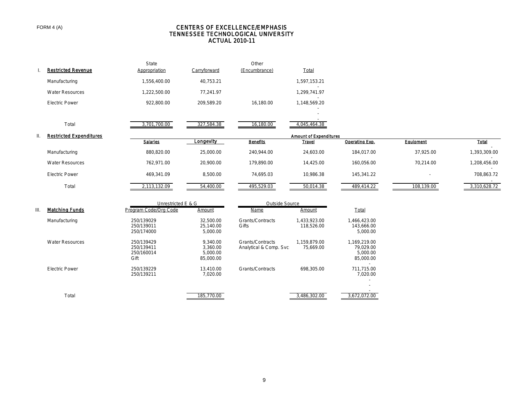### FORM 4 (A)

#### CENTERS OF EXCELLENCE/EMPHASIS TENNESSEE TECHNOLOGICAL UNIVERSITY ACTUAL 2010-11

|    | <b>Restricted Revenue</b>      | State<br>Appropriation                         | Carryforward                                  | Other<br>(Encumbrance)                      | Total                         |                                                    |            |              |
|----|--------------------------------|------------------------------------------------|-----------------------------------------------|---------------------------------------------|-------------------------------|----------------------------------------------------|------------|--------------|
|    | Manufacturing                  | 1,556,400.00                                   | 40,753.21                                     |                                             | 1,597,153.21                  |                                                    |            |              |
|    | <b>Water Resources</b>         | 1,222,500.00                                   | 77,241.97                                     |                                             | 1,299,741.97                  |                                                    |            |              |
|    | <b>Electric Power</b>          | 922,800.00                                     | 209,589.20                                    | 16,180.00                                   | 1,148,569.20                  |                                                    |            |              |
|    |                                |                                                |                                               |                                             |                               |                                                    |            |              |
|    | Total                          | 3,701,700.00                                   | 327,584.38                                    | 16,180.00                                   | 4,045,464.38                  |                                                    |            |              |
| Ш. | <b>Restricted Expenditures</b> |                                                |                                               |                                             | <b>Amount of Expenditures</b> |                                                    |            |              |
|    |                                | Salaries                                       | Longevity                                     | <b>Benefits</b>                             | <b>Travel</b>                 | Operating Exp.                                     | Equipment  | Total        |
|    | Manufacturing                  | 880,820.00                                     | 25,000.00                                     | 240,944.00                                  | 24,603.00                     | 184,017.00                                         | 37,925.00  | 1,393,309.00 |
|    | <b>Water Resources</b>         | 762,971.00                                     | 20,900.00                                     | 179,890.00                                  | 14,425.00                     | 160,056.00                                         | 70,214.00  | 1,208,456.00 |
|    | <b>Electric Power</b>          | 469,341.09                                     | 8,500.00                                      | 74,695.03                                   | 10,986.38                     | 145,341.22                                         |            | 708,863.72   |
|    | Total                          | 2,113,132.09                                   | 54,400.00                                     | 495,529.03                                  | 50,014.38                     | 489,414.22                                         | 108,139.00 | 3,310,628.72 |
|    |                                | Unrestricted E & G                             |                                               | Outside Source                              |                               |                                                    |            |              |
| Ш. | <b>Matching Funds</b>          | Program Code/Org Code                          | Amount                                        | <b>Name</b>                                 | Amount                        | Total                                              |            |              |
|    | Manufacturing                  | 250/139029<br>250/139011<br>250/174000         | 32,500.00<br>25,140.00<br>5,000.00            | Grants/Contracts<br>Gifts                   | 1,433,923.00<br>118,526.00    | 1,466,423.00<br>143,666.00<br>5,000.00             |            |              |
|    | <b>Water Resources</b>         | 250/139429<br>250/139411<br>250/160014<br>Gift | 9,340.00<br>3.360.00<br>5,000.00<br>85,000.00 | Grants/Contracts<br>Analytical & Comp. Svc: | 1,159,879.00<br>75,669.00     | 1,169,219.00<br>79,029.00<br>5,000.00<br>85,000.00 |            |              |
|    | <b>Electric Power</b>          | 250/139229<br>250/139211                       | 13,410.00<br>7,020.00                         | Grants/Contracts                            | 698,305.00                    | $\sim$<br>711,715.00<br>7,020.00                   |            |              |

Total 185,770.00 3,486,302.00

3,672,072.00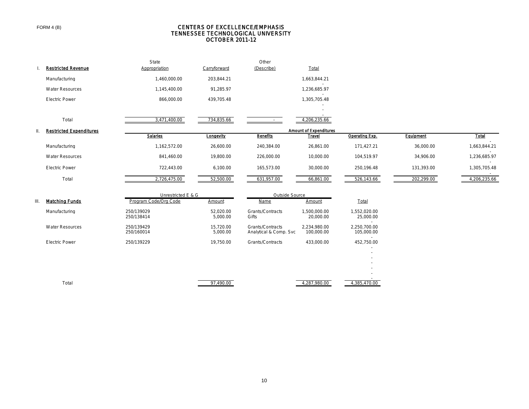#### CENTERS OF EXCELLENCE/EMPHASIS TENNESSEE TECHNOLOGICAL UNIVERSITY OCTOBER 2011-12

|     |                                | State                       |                         | Other            |                               |                |            |              |
|-----|--------------------------------|-----------------------------|-------------------------|------------------|-------------------------------|----------------|------------|--------------|
|     | <b>Restricted Revenue</b>      | Appropriation               | Carryforward            | (Describe)       | Total                         |                |            |              |
|     | Manufacturing                  | 1,460,000.00                | 203,844.21              |                  | 1,663,844.21                  |                |            |              |
|     | <b>Water Resources</b>         | 1,145,400.00                | 91,285.97               |                  | 1,236,685.97                  |                |            |              |
|     | <b>Electric Power</b>          | 866,000.00                  | 439,705.48              |                  | 1,305,705.48                  |                |            |              |
|     |                                |                             |                         |                  |                               |                |            |              |
|     | Total                          | 3,471,400.00                | 734,835.66              | $\sim$           | 4,206,235.66                  |                |            |              |
| II. | <b>Restricted Expenditures</b> |                             |                         |                  | <b>Amount of Expenditures</b> |                |            |              |
|     |                                | <b>Salarles</b>             | <b>Longevity</b>        | <b>Benefits</b>  | <u>Travel</u>                 | Operating Exp. | Equipment  | Total        |
|     | Manufacturing                  | 1,162,572.00                | 26,600.00               | 240,384.00       | 26,861.00                     | 171,427.21     | 36,000.00  | 1,663,844.21 |
|     | <b>Water Resources</b>         | 841,460.00                  | 19,800.00               | 226,000.00       | 10,000.00                     | 104,519.97     | 34,906.00  | 1,236,685.97 |
|     | <b>Electric Power</b>          | 722,443.00                  | 6,100.00                | 165,573.00       | 30,000.00                     | 250,196.48     | 131,393.00 | 1,305,705.48 |
|     | Total                          | 2,726,475.00                | 52,500.00               | 631,957.00       | 66,861.00                     | 526,143.66     | 202,299.00 | 4,206,235.66 |
|     |                                | Unrestricted E & G          |                         | Outside Source   |                               |                |            |              |
| Ш.  | <b>Matching Funds</b>          | Program Code/Org Code       | Amount                  | <b>Name</b>      | <b>Amount</b>                 | Total          |            |              |
|     | Manufacturing                  | 250/139029<br>0.00011000111 | 52,020.00<br>$R$ and an | Grants/Contracts | 1,500,000.00<br>              | 1,552,020.00   |            |              |

|                        | 250/138414               | 5,000.00              | Gifts                                      | 20,000.00                  | 25,000.00                     |
|------------------------|--------------------------|-----------------------|--------------------------------------------|----------------------------|-------------------------------|
| <b>Water Resources</b> | 250/139429<br>250/160014 | 15,720.00<br>5,000.00 | Grants/Contracts<br>Analytical & Comp. Svc | 2,234,980.00<br>100,000.00 | 2,250,700.00<br>105,000.00    |
| <b>Electric Power</b>  | 250/139229               | 19,750.00             | Grants/Contracts                           | 433,000.00                 | 452,750.00<br>-               |
|                        |                          |                       |                                            |                            | $\overline{\phantom{a}}$<br>- |
|                        |                          |                       |                                            |                            | -                             |
|                        |                          |                       |                                            |                            | $\overline{\phantom{a}}$<br>- |
|                        |                          |                       |                                            |                            |                               |
| Total                  |                          | 97,490.00             |                                            | 4,287,980.00               | 4,385,470.00                  |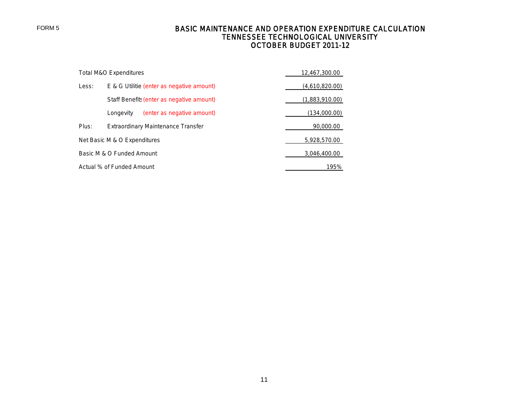# BASIC MAINTENANCE AND OPERATION EXPENDITURE CALCULATION TENNESSEE TECHNOLOGICAL UNIVERSITY OCTOBER BUDGET 2011-12

|       | Total M&O Expenditures                    | 12,467,300.00  |
|-------|-------------------------------------------|----------------|
| Less: | E & G Utilitie (enter as negative amount) | (4,610,820.00) |
|       | Staff Benefits (enter as negative amount) | (1,883,910.00) |
|       | (enter as negative amount)<br>Longevity   | (134,000.00)   |
| Plus: | <b>Extraordinary Maintenance Transfer</b> | 90,000.00      |
|       | Net Basic M & O Expenditures              | 5,928,570.00   |
|       | Basic M & O Funded Amount                 | 3,046,400.00   |
|       | Actual % of Funded Amount                 | 195%           |

FORM 5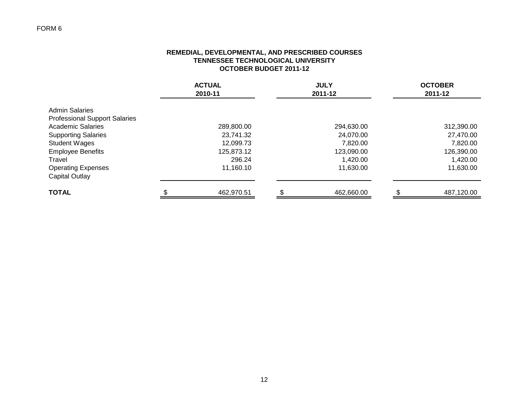# FORM 6

## **REMEDIAL, DEVELOPMENTAL, AND PRESCRIBED COURSES TENNESSEE TECHNOLOGICAL UNIVERSITY OCTOBER BUDGET 2011-12**

|                                                               | <b>ACTUAL</b><br>2010-11 |  | <b>JULY</b><br>2011-12 | <b>OCTOBER</b><br>2011-12 |  |
|---------------------------------------------------------------|--------------------------|--|------------------------|---------------------------|--|
| <b>Admin Salaries</b><br><b>Professional Support Salaries</b> |                          |  |                        |                           |  |
| <b>Academic Salaries</b>                                      | 289,800.00               |  | 294,630.00             | 312,390.00                |  |
| <b>Supporting Salaries</b>                                    | 23,741.32                |  | 24,070.00              | 27,470.00                 |  |
| <b>Student Wages</b>                                          | 12,099.73                |  | 7,820.00               | 7,820.00                  |  |
| <b>Employee Benefits</b>                                      | 125,873.12               |  | 123,090.00             | 126,390.00                |  |
| Travel                                                        | 296.24                   |  | 1,420.00               | 1,420.00                  |  |
| <b>Operating Expenses</b><br>Capital Outlay                   | 11,160.10                |  | 11,630.00              | 11,630.00                 |  |
| <b>TOTAL</b>                                                  | 462,970.51               |  | 462,660.00             | 487,120.00                |  |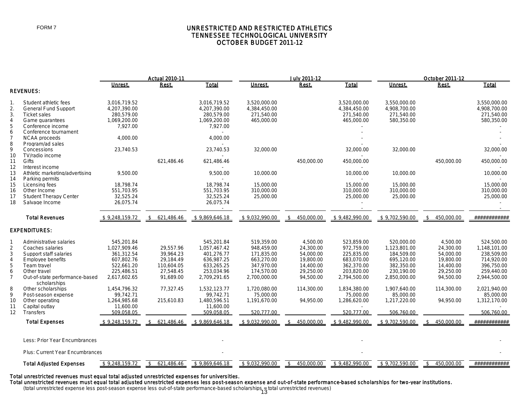## UNRESTRICTED AND RESTRICTED ATHLETICS TENNESSEE TECHNOLOGICAL UNIVERSITY OCTOBER BUDGET 2011-12

|                                                      |                                                                                                                                                                    |                                                                                                    | <b>Actual 2010-11</b>                                                       |                                                                                                    |                                                                                                  | <b>July 2011-12</b>                                                                    |                                                                                                  |                                                                                                    | October 2011-12                                                                        |                                                                                                    |
|------------------------------------------------------|--------------------------------------------------------------------------------------------------------------------------------------------------------------------|----------------------------------------------------------------------------------------------------|-----------------------------------------------------------------------------|----------------------------------------------------------------------------------------------------|--------------------------------------------------------------------------------------------------|----------------------------------------------------------------------------------------|--------------------------------------------------------------------------------------------------|----------------------------------------------------------------------------------------------------|----------------------------------------------------------------------------------------|----------------------------------------------------------------------------------------------------|
|                                                      |                                                                                                                                                                    | Unrest.                                                                                            | Rest.                                                                       | Total                                                                                              | Unrest.                                                                                          | Rest.                                                                                  | <b>Total</b>                                                                                     | Unrest.                                                                                            | Rest.                                                                                  | <b>Total</b>                                                                                       |
|                                                      | <b>REVENUES:</b>                                                                                                                                                   |                                                                                                    |                                                                             |                                                                                                    |                                                                                                  |                                                                                        |                                                                                                  |                                                                                                    |                                                                                        |                                                                                                    |
| 1.<br>2.<br>3.<br>$\overline{4}$                     | Student athletic fees<br><b>General Fund Support</b><br><b>Ticket sales</b><br>Game quarantees                                                                     | 3,016,719.52<br>4,207,390.00<br>280,579.00<br>1,069,200.00                                         |                                                                             | 3,016,719.52<br>4,207,390.00<br>280,579.00<br>1,069,200.00                                         | 3,520,000.00<br>4,384,450.00<br>271.540.00<br>465.000.00                                         |                                                                                        | 3,520,000.00<br>4,384,450.00<br>271,540.00<br>465,000.00                                         | 3,550,000.00<br>4,908,700.00<br>271,540.00<br>580,350.00                                           |                                                                                        | 3,550,000.00<br>4,908,700.00<br>271.540.00<br>580,350.00                                           |
| 5<br>6                                               | Conference income<br>Conference tournament                                                                                                                         | 7,927.00                                                                                           |                                                                             | 7,927.00                                                                                           |                                                                                                  |                                                                                        |                                                                                                  |                                                                                                    |                                                                                        |                                                                                                    |
| $\overline{7}$<br>8<br>9                             | <b>NCAA</b> proceeds<br>Program/ad sales<br>Concessions                                                                                                            | 4,000.00<br>23.740.53                                                                              |                                                                             | 4,000.00<br>23.740.53                                                                              | 32.000.00                                                                                        |                                                                                        | 32,000.00                                                                                        | 32,000.00                                                                                          |                                                                                        | 32,000.00                                                                                          |
| 10<br>11                                             | TV/radio income<br>Gifts                                                                                                                                           |                                                                                                    | 621,486.46                                                                  | 621,486.46                                                                                         |                                                                                                  | 450,000.00                                                                             | 450,000.00                                                                                       |                                                                                                    | 450,000.00                                                                             | 450,000.00                                                                                         |
| 12<br>13<br>14                                       | Interest income<br>Athletic marketing/advertising<br>Parking permits                                                                                               | 9.500.00                                                                                           |                                                                             | 9.500.00                                                                                           | 10,000.00                                                                                        |                                                                                        | 10,000.00                                                                                        | 10,000.00                                                                                          |                                                                                        | 10,000.00                                                                                          |
| 15<br>16<br>17<br>18                                 | Licensing fees<br>Other Income<br><b>Student Therapy Center</b><br>Salvage Income                                                                                  | 18,798.74<br>551,703.95<br>32,525.24<br>26,075.74                                                  |                                                                             | 18,798.74<br>551,703.95<br>32,525.24<br>26,075.74                                                  | 15,000.00<br>310,000.00<br>25,000.00                                                             |                                                                                        | 15,000.00<br>310,000.00<br>25,000.00                                                             | 15,000.00<br>310,000.00<br>25,000.00                                                               |                                                                                        | 15,000.00<br>310,000.00<br>25,000.00                                                               |
|                                                      | <b>Total Revenues</b>                                                                                                                                              | \$9,248,159.72                                                                                     | \$621,486.46                                                                | \$9,869,646.18                                                                                     | \$9,032,990.00                                                                                   | 450,000.00<br>$\mathbf{\hat{S}}$                                                       | \$9,482,990.00                                                                                   | \$9,702,590.00                                                                                     | 450,000.00<br>$\mathbf{\hat{s}}$                                                       | ############                                                                                       |
|                                                      | <b>EXPENDITURES:</b>                                                                                                                                               |                                                                                                    |                                                                             |                                                                                                    |                                                                                                  |                                                                                        |                                                                                                  |                                                                                                    |                                                                                        |                                                                                                    |
| 2<br>3<br>$\overline{4}$<br>5<br>6<br>$\overline{7}$ | Administrative salaries<br>Coaches salaries<br>Support staff salaries<br><b>Employee benefits</b><br>Team travel<br>Other travel<br>Out-of-state performance-based | 545,201.84<br>1,027,909.46<br>361,312.54<br>607,802.76<br>522,661.20<br>225,486.51<br>2,617,602.65 | 29,557.96<br>39.964.23<br>29,184.49<br>110,604.05<br>27,548.45<br>91,689.00 | 545,201.84<br>1,057,467.42<br>401.276.77<br>636,987.25<br>633,265.25<br>253,034.96<br>2,709,291.65 | 519,359.00<br>948,459.00<br>171.835.00<br>663,270.00<br>347,970.00<br>174,570.00<br>2,700,000.00 | 4,500.00<br>24,300.00<br>54,000.00<br>19,800.00<br>14,400.00<br>29,250.00<br>94,500.00 | 523,859.00<br>972,759.00<br>225.835.00<br>683,070.00<br>362,370.00<br>203,820.00<br>2,794,500.00 | 520,000.00<br>1,123,801.00<br>184,509.00<br>695,120.00<br>382,350.00<br>230,190.00<br>2,850,000.00 | 4,500.00<br>24,300.00<br>54.000.00<br>19,800.00<br>14,400.00<br>29,250.00<br>94,500.00 | 524,500.00<br>1,148,101.00<br>238,509.00<br>714,920.00<br>396,750.00<br>259,440.00<br>2,944,500.00 |
| 8<br>9<br>10<br>11                                   | scholarships<br>Other scholarships<br>Post-season expense<br>Other operating<br>Capital outlay                                                                     | 1,454,796.32<br>99,742.71<br>1,264,985.68<br>11,600.00                                             | 77,327.45<br>215,610.83                                                     | 1,532,123.77<br>99,742.71<br>1,480,596.51<br>11,600.00                                             | 1,720,080.00<br>75,000.00<br>1,191,670.00                                                        | 114,300.00<br>94,950.00                                                                | 1,834,380.00<br>75,000.00<br>1,286,620.00                                                        | 1,907,640.00<br>85,000.00<br>1,217,220.00                                                          | 114,300.00<br>94,950.00                                                                | 2.021.940.00<br>85,000.00<br>1,312,170.00                                                          |
| $12 \overline{ }$                                    | Transfers                                                                                                                                                          | 509,058.05                                                                                         |                                                                             | 509,058.05                                                                                         | 520,777.00                                                                                       |                                                                                        | 520,777.00                                                                                       | 506,760.00                                                                                         |                                                                                        | 506,760.00                                                                                         |
|                                                      | <b>Total Expenses</b>                                                                                                                                              | \$9,248,159.72                                                                                     | \$621,486.46                                                                | \$9,869,646.18                                                                                     | \$9,032,990.00                                                                                   | 450,000.00<br>\$                                                                       | \$9,482,990.00                                                                                   | \$9,702,590.00                                                                                     | 450,000.00<br>\$                                                                       | ############                                                                                       |
|                                                      | Less: Prior Year Encumbrances                                                                                                                                      |                                                                                                    |                                                                             |                                                                                                    |                                                                                                  |                                                                                        |                                                                                                  |                                                                                                    |                                                                                        |                                                                                                    |
|                                                      | <b>Plus: Current Year Encumbrances</b>                                                                                                                             |                                                                                                    |                                                                             |                                                                                                    |                                                                                                  |                                                                                        |                                                                                                  |                                                                                                    |                                                                                        |                                                                                                    |
|                                                      | <b>Total Adjusted Expenses</b>                                                                                                                                     | \$9,248,159.72                                                                                     | 621,486.46                                                                  | \$9.869.646.18                                                                                     | \$9.032.990.00                                                                                   | 450,000.00                                                                             | \$9.482,990.00                                                                                   | \$9.702.590.00                                                                                     | 450,000.00<br>\$                                                                       | ############                                                                                       |
|                                                      |                                                                                                                                                                    |                                                                                                    |                                                                             |                                                                                                    |                                                                                                  |                                                                                        |                                                                                                  |                                                                                                    |                                                                                        |                                                                                                    |

#### Total unrestricted revenues must equal total adjusted unrestricted expenses for universities.

Total unrestricted revenues must equal total adjusted unrestricted expenses less post-season expense and out-of-state performance-based scholarships for two-year institutions.

(total unrestricted expense less post-season expense less out-of-state performance-based scholarships = total unrestricted revenues)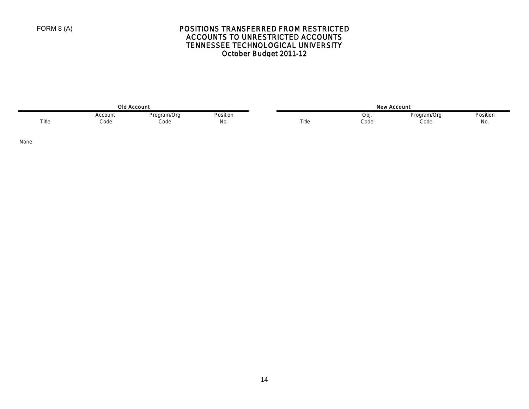# POSITIONS TRANSFERRED FROM RESTRICTED ACCOUNTS TO UNRESTRICTED ACCOUNTS TENNESSEE TECHNOLOGICAL UNIVERSITY October Budget 2011-12

| <b>Old Account</b> |         |             |          |  | ، سماھ<br><b>Account</b><br>, אפ |      |             |                                                  |  |
|--------------------|---------|-------------|----------|--|----------------------------------|------|-------------|--------------------------------------------------|--|
|                    | Account | Program/Org | Position |  |                                  | UDI  | Proaram/Oro | Position<br>$\qquad \qquad \cdots \qquad \qquad$ |  |
| Title              | Code    | Code        | No.      |  | Title                            | Code | Code        | No.                                              |  |

None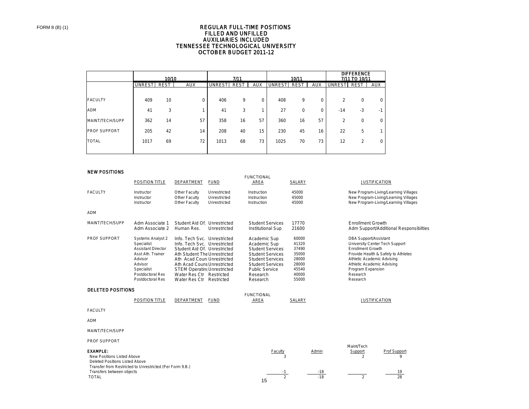#### TENNESSEE TECHNOLOGICAL UNIVERSITY OCTOBER BUDGET 2011-12 REGULAR FULL-TIME POSITIONS FILLED AND UNFILLED AUXILIARIES INCLUDED

|                     |        | 10/10 |            |               | 7/11 |            |               | 10/11       |            |                | <b>DIFFERENCE</b><br>7/11 TO 10/11 |            |
|---------------------|--------|-------|------------|---------------|------|------------|---------------|-------------|------------|----------------|------------------------------------|------------|
|                     | UNREST | REST  | <b>AUX</b> | <b>UNREST</b> | REST | <b>AUX</b> | <b>UNREST</b> | <b>REST</b> | <b>AUX</b> | <b>UNRESTI</b> | REST                               | <b>AUX</b> |
|                     |        |       |            |               |      |            |               |             |            |                |                                    |            |
| <b>FACULTY</b>      | 409    | 10    | 0          | 406           | 9    | 0          | 408           | 9           | 0          | $\overline{c}$ | $\mathbf 0$                        | 0          |
| <b>ADM</b>          | 41     | 3     |            | 41            | 3    |            | 27            | 0           | 0          | $-14$          | $-3$                               | - 1        |
| MAINT/TECH/SUPP     | 362    | 14    | 57         | 358           | 16   | 57         | 360           | 16          | 57         | 2              | $\mathbf 0$                        | 0          |
| <b>PROF SUPPORT</b> | 205    | 42    | 14         | 208           | 40   | 15         | 230           | 45          | 16         | 22             | 5                                  |            |
| <b>TOTAL</b>        | 1017   | 69    | 72         | 1013          | 68   | 73         | 1025          | 70          | 73         | 12             | 2                                  | 0          |
|                     |        |       |            |               |      |            |               |             |            |                |                                    |            |

#### NEW POSITIONS

|                                                                                                                                                                                          |                                                                                                                                                                             |                                                                                                                                                                                                                                                                                        |                                              | <b>FUNCTIONAL</b>                                                                                                                                                                         |                                                                               |                         |                                                                                                                                                                                                     |                                                                                                                      |
|------------------------------------------------------------------------------------------------------------------------------------------------------------------------------------------|-----------------------------------------------------------------------------------------------------------------------------------------------------------------------------|----------------------------------------------------------------------------------------------------------------------------------------------------------------------------------------------------------------------------------------------------------------------------------------|----------------------------------------------|-------------------------------------------------------------------------------------------------------------------------------------------------------------------------------------------|-------------------------------------------------------------------------------|-------------------------|-----------------------------------------------------------------------------------------------------------------------------------------------------------------------------------------------------|----------------------------------------------------------------------------------------------------------------------|
|                                                                                                                                                                                          | <b>POSITION TITLE</b>                                                                                                                                                       | DEPARTMENT                                                                                                                                                                                                                                                                             | <b>FUND</b>                                  | AREA                                                                                                                                                                                      | SALARY                                                                        |                         | <b>JUSTIFICATION</b>                                                                                                                                                                                |                                                                                                                      |
| <b>FACULTY</b>                                                                                                                                                                           | Instructor<br>Instructor<br>Instructor                                                                                                                                      | Other Faculty<br>Other Faculty<br>Other Faculty                                                                                                                                                                                                                                        | Unrestricted<br>Unrestricted<br>Unrestricted | Instruction<br>Instruction<br>Instruction                                                                                                                                                 | 45000<br>45000<br>45000                                                       |                         |                                                                                                                                                                                                     | New Program-Living/Learning Villages<br>New Program-Living/Learning Villages<br>New Program-Living/Learning Villages |
| <b>ADM</b>                                                                                                                                                                               |                                                                                                                                                                             |                                                                                                                                                                                                                                                                                        |                                              |                                                                                                                                                                                           |                                                                               |                         |                                                                                                                                                                                                     |                                                                                                                      |
| MAINT/TECH/SUPP                                                                                                                                                                          | Adm Associate 1<br>Adm Associate 2                                                                                                                                          | Student Aid Of. Unrestricted<br>Human Res.                                                                                                                                                                                                                                             | Unrestricted                                 | <b>Student Services</b><br><b>Institutional Sup</b>                                                                                                                                       | 17770<br>21600                                                                |                         | <b>Enrollment Growth</b>                                                                                                                                                                            | Adm Support/Additional Responsibilties                                                                               |
| PROF SUPPORT                                                                                                                                                                             | <b>Systems Analyst 2</b><br>Specialist<br><b>Assistant Director</b><br>Asst Ath. Trainer<br>Advisor<br>Advisor<br>Specialist<br>Postdoctoral Res<br><b>Postdoctoral Res</b> | Info. Tech Svc. Unrestricted<br>Info. Tech Svc. Unrestricted<br>Student Aid Of. Unrestricted<br>Ath Student The Unrestricted<br>Ath Acad Coun Unrestricted<br>Ath Acad Couns Unrestricted<br><b>STEM Operatin Unrestricted</b><br>Water Res Ctr Restricted<br>Water Res Ctr Restricted |                                              | Academic Sup<br>Academic Sup<br><b>Student Services</b><br><b>Student Services</b><br><b>Student Services</b><br><b>Student Services</b><br><b>Public Service</b><br>Research<br>Research | 60000<br>41320<br>37490<br>35000<br>28000<br>28000<br>45540<br>40000<br>55000 |                         | <b>DBA Support/Assistant</b><br>University Center Tech Support<br><b>Enrollment Growth</b><br>Athletic Academic Advising<br>Athletic Academic Advising<br>Program Expansion<br>Research<br>Research | Provide Health & Safety to Athletes                                                                                  |
| <b>DELETED POSITIONS</b>                                                                                                                                                                 |                                                                                                                                                                             |                                                                                                                                                                                                                                                                                        |                                              | <b>FUNCTIONAL</b>                                                                                                                                                                         |                                                                               |                         |                                                                                                                                                                                                     |                                                                                                                      |
|                                                                                                                                                                                          | <b>POSITION TITLE</b>                                                                                                                                                       | DEPARTMENT                                                                                                                                                                                                                                                                             | <b>FUND</b>                                  | AREA                                                                                                                                                                                      | SALARY                                                                        |                         | <b>JUSTIFICATION</b>                                                                                                                                                                                |                                                                                                                      |
| <b>FACULTY</b>                                                                                                                                                                           |                                                                                                                                                                             |                                                                                                                                                                                                                                                                                        |                                              |                                                                                                                                                                                           |                                                                               |                         |                                                                                                                                                                                                     |                                                                                                                      |
| <b>ADM</b>                                                                                                                                                                               |                                                                                                                                                                             |                                                                                                                                                                                                                                                                                        |                                              |                                                                                                                                                                                           |                                                                               |                         |                                                                                                                                                                                                     |                                                                                                                      |
| MAINT/TECH/SUPP                                                                                                                                                                          |                                                                                                                                                                             |                                                                                                                                                                                                                                                                                        |                                              |                                                                                                                                                                                           |                                                                               |                         |                                                                                                                                                                                                     |                                                                                                                      |
| PROF SUPPORT                                                                                                                                                                             |                                                                                                                                                                             |                                                                                                                                                                                                                                                                                        |                                              |                                                                                                                                                                                           |                                                                               |                         | Maint/Tech                                                                                                                                                                                          |                                                                                                                      |
| <b>EXAMPLE:</b><br>New Positions Listed Above<br>Deleted Positions Listed Above<br>Transfer from Restricted to Unrestricted (Per Form 9.B.)<br>Transfers between objects<br><b>TOTAL</b> |                                                                                                                                                                             |                                                                                                                                                                                                                                                                                        |                                              | Faculty<br>3<br>$-1$<br>$\overline{2}$                                                                                                                                                    |                                                                               | Admin<br>$-18$<br>$-18$ | Support<br>$\mathfrak{p}$<br>$\overline{2}$                                                                                                                                                         | Prof Support<br>$\mathsf{Q}$<br>19<br>28                                                                             |

15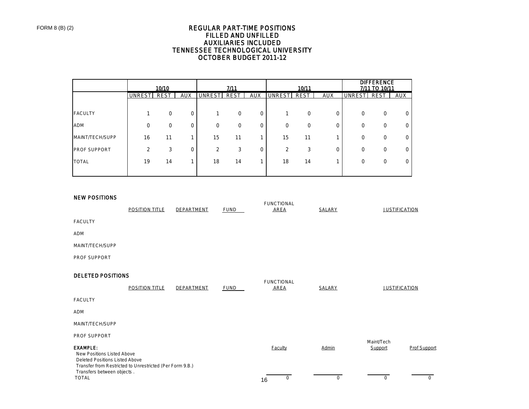### REGULAR PART-TIME POSITIONS FILLED AND UNFILLED AUXILIARIES INCLUDED TENNESSEE TECHNOLOGICAL UNIVERSITY OCTOBER BUDGET 2011-12

|                     |        | 10/10       |             |                | 7/11        |            |                | 10/11       |            |             | <b>DIFFERENCE</b><br>7/11 TO 10/11 |            |
|---------------------|--------|-------------|-------------|----------------|-------------|------------|----------------|-------------|------------|-------------|------------------------------------|------------|
|                     | UNREST | <b>REST</b> | <b>AUX</b>  | <b>UNRESTI</b> | <b>REST</b> | <b>AUX</b> | <b>UNREST</b>  | <b>REST</b> | <b>AUX</b> | UNREST REST |                                    | <b>AUX</b> |
|                     |        |             |             |                |             |            |                |             |            |             |                                    |            |
| <b>FACULTY</b>      |        | 0           | $\mathbf 0$ |                | 0           | 0          |                | $\mathbf 0$ | 0          | $\mathbf 0$ | 0                                  |            |
| <b>ADM</b>          | 0      | 0           | 0           | $\mathbf 0$    | 0           | 0          | $\Omega$       | 0           | 0          | $\mathbf 0$ | 0                                  |            |
| MAINT/TECH/SUPP     | 16     | 11          |             | 15             | 11          |            | 15             | 11          |            | $\mathbf 0$ | 0                                  |            |
| <b>PROF SUPPORT</b> | 2      | 3           | $\mathbf 0$ | 2              | 3           | 0          | $\overline{2}$ | 3           | 0          | $\Omega$    | 0                                  |            |
| <b>TOTAL</b>        | 19     | 14          |             | 18             | 14          |            | 18             | 14          |            | $\mathbf 0$ | 0                                  |            |
|                     |        |             |             |                |             |            |                |             |            |             |                                    |            |

#### NEW POSITIONS

|                                                                                                                                                                           | <b>POSITION TITLE</b> | DEPARTMENT | <b>FUND</b> | <b>FUNCTIONAL</b><br><b>AREA</b> | <b>SALARY</b> |                      | <b>JUSTIFICATION</b> |
|---------------------------------------------------------------------------------------------------------------------------------------------------------------------------|-----------------------|------------|-------------|----------------------------------|---------------|----------------------|----------------------|
| <b>FACULTY</b>                                                                                                                                                            |                       |            |             |                                  |               |                      |                      |
| ADM                                                                                                                                                                       |                       |            |             |                                  |               |                      |                      |
| MAINT/TECH/SUPP                                                                                                                                                           |                       |            |             |                                  |               |                      |                      |
| PROF SUPPORT                                                                                                                                                              |                       |            |             |                                  |               |                      |                      |
| <b>DELETED POSITIONS</b>                                                                                                                                                  |                       |            |             | <b>FUNCTIONAL</b>                |               |                      |                      |
|                                                                                                                                                                           | <b>POSITION TITLE</b> | DEPARTMENT | <b>FUND</b> | <b>AREA</b>                      | <b>SALARY</b> | <b>JUSTIFICATION</b> |                      |
| <b>FACULTY</b>                                                                                                                                                            |                       |            |             |                                  |               |                      |                      |
| <b>ADM</b>                                                                                                                                                                |                       |            |             |                                  |               |                      |                      |
| MAINT/TECH/SUPP                                                                                                                                                           |                       |            |             |                                  |               |                      |                      |
| PROF SUPPORT                                                                                                                                                              |                       |            |             |                                  |               | Maint/Tech           |                      |
| <b>EXAMPLE:</b><br>New Positions Listed Above<br>Deleted Positions Listed Above<br>Transfer from Restricted to Unrestricted (Per Form 9.B.)<br>Transfers between objects. |                       |            |             | <b>Faculty</b>                   | Admin         | Support              | <b>Prof Support</b>  |
| <b>TOTAL</b>                                                                                                                                                              |                       |            |             | 0<br>16                          | 0             | 0                    | $\mathbf 0$          |

16 TOTAL 0 0 0 0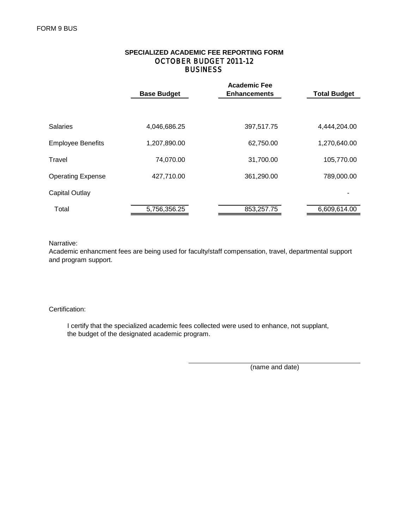|                          | <b>Base Budget</b> | <b>Total Budget</b> |              |  |
|--------------------------|--------------------|---------------------|--------------|--|
|                          |                    |                     |              |  |
| <b>Salaries</b>          | 4,046,686.25       | 397,517.75          | 4,444,204.00 |  |
| <b>Employee Benefits</b> | 1,207,890.00       | 62,750.00           | 1,270,640.00 |  |
| Travel                   | 74,070.00          | 31,700.00           | 105,770.00   |  |
| <b>Operating Expense</b> | 427,710.00         | 361,290.00          | 789,000.00   |  |
| <b>Capital Outlay</b>    |                    |                     |              |  |
| Total                    | 5,756,356.25       | 853,257.75          | 6,609,614.00 |  |

# **BUSINESS SPECIALIZED ACADEMIC FEE REPORTING FORM** OCTOBER BUDGET 2011-12

Narrative:

Academic enhancment fees are being used for faculty/staff compensation, travel, departmental support and program support.

## Certification:

 I certify that the specialized academic fees collected were used to enhance, not supplant, the budget of the designated academic program.

(name and date)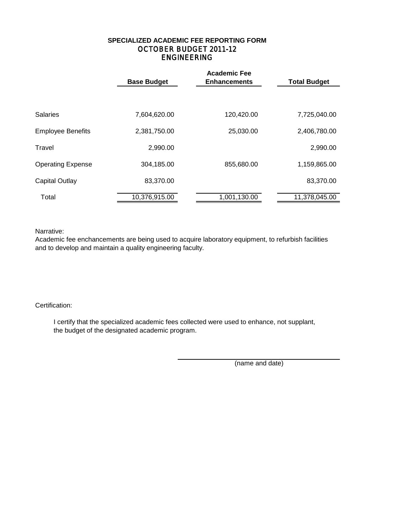# ENGINEERING **SPECIALIZED ACADEMIC FEE REPORTING FORM** OCTOBER BUDGET 2011-12

|                          | <b>Base Budget</b> | <b>Academic Fee</b><br><b>Enhancements</b> | <b>Total Budget</b> |
|--------------------------|--------------------|--------------------------------------------|---------------------|
|                          |                    |                                            |                     |
| <b>Salaries</b>          | 7,604,620.00       | 120,420.00                                 | 7,725,040.00        |
| <b>Employee Benefits</b> | 2,381,750.00       | 25,030.00                                  | 2,406,780.00        |
| Travel                   | 2,990.00           |                                            | 2,990.00            |
| <b>Operating Expense</b> | 304,185.00         | 855,680.00                                 | 1,159,865.00        |
| <b>Capital Outlay</b>    | 83,370.00          |                                            | 83,370.00           |
| Total                    | 10,376,915.00      | 1,001,130.00                               | 11,378,045.00       |

Narrative:

Academic fee enchancements are being used to acquire laboratory equipment, to refurbish facilities and to develop and maintain a quality engineering faculty.

## Certification:

 I certify that the specialized academic fees collected were used to enhance, not supplant, the budget of the designated academic program.

(name and date)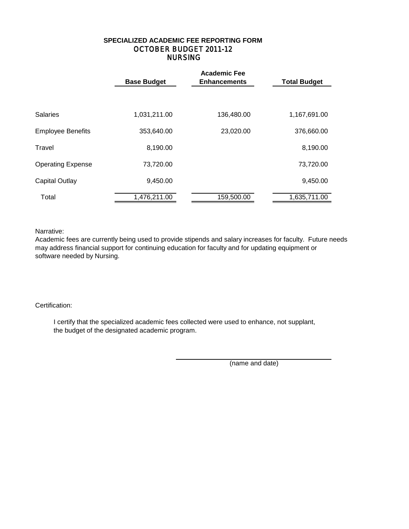# NURSING **SPECIALIZED ACADEMIC FEE REPORTING FORM** OCTOBER BUDGET 2011-12

|                          | <b>Base Budget</b> | <b>Academic Fee</b><br><b>Enhancements</b> |              |  |  |  |  |  |
|--------------------------|--------------------|--------------------------------------------|--------------|--|--|--|--|--|
|                          |                    |                                            |              |  |  |  |  |  |
| <b>Salaries</b>          | 1,031,211.00       | 136,480.00                                 | 1,167,691.00 |  |  |  |  |  |
| <b>Employee Benefits</b> | 353,640.00         | 23,020.00                                  | 376,660.00   |  |  |  |  |  |
| Travel                   | 8,190.00           |                                            | 8,190.00     |  |  |  |  |  |
| <b>Operating Expense</b> | 73,720.00          |                                            | 73,720.00    |  |  |  |  |  |
| <b>Capital Outlay</b>    | 9,450.00           |                                            | 9,450.00     |  |  |  |  |  |
| Total                    | 1,476,211.00       | 159,500.00                                 | 1,635,711.00 |  |  |  |  |  |

Narrative:

Academic fees are currently being used to provide stipends and salary increases for faculty. Future needs may address financial support for continuing education for faculty and for updating equipment or software needed by Nursing.

## Certification:

 I certify that the specialized academic fees collected were used to enhance, not supplant, the budget of the designated academic program.

(name and date)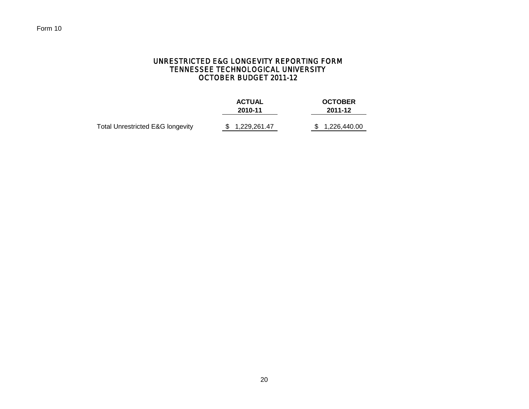# UNRESTRICTED E&G LONGEVITY REPORTING FORM TENNESSEE TECHNOLOGICAL UNIVERSITY OCTOBER BUDGET 2011-12

|                                  | <b>ACTUAL</b><br>2010-11 | <b>OCTOBER</b><br>2011-12 |  |  |  |
|----------------------------------|--------------------------|---------------------------|--|--|--|
| Total Unrestricted E&G longevity | \$1,229,261.47           | \$1,226,440.00            |  |  |  |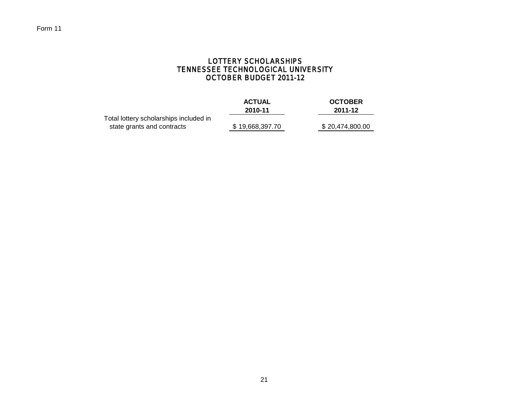# LOTTERY SCHOLARSHIPS TENNESSEE TECHNOLOGICAL UNIVERSITY OCTOBER BUDGET 2011-12

| <b>ACTUAL</b>   | <b>OCTOBER</b>  |
|-----------------|-----------------|
| 2010-11         | 2011-12         |
|                 |                 |
| \$19,668,397.70 | \$20,474,800.00 |
|                 |                 |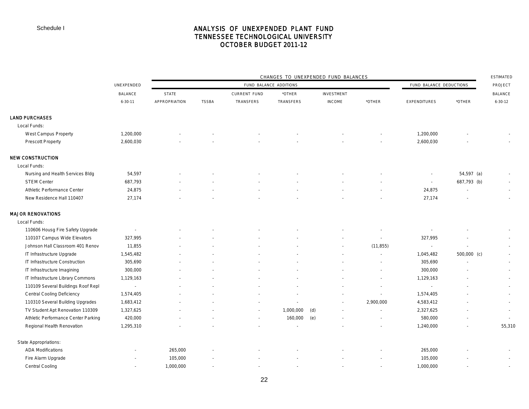# ANALYSIS OF UNEXPENDED PLANT FUND TENNESSEE TECHNOLOGICAL UNIVERSITY OCTOBER BUDGET 2011-12

|                                     |                | CHANGES TO UNEXPENDED FUND BALANCES |              |                          |                        |                   |                          |                             |               |                          | <b>ESTIMATED</b> |
|-------------------------------------|----------------|-------------------------------------|--------------|--------------------------|------------------------|-------------------|--------------------------|-----------------------------|---------------|--------------------------|------------------|
|                                     | UNEXPENDED     |                                     |              |                          | FUND BALANCE ADDITIONS |                   |                          | FUND BALANCE DEDUCTIONS     |               | PROJECT                  |                  |
|                                     | <b>BALANCE</b> | <b>STATE</b>                        |              | <b>CURRENT FUND</b>      | *OTHER                 | <b>INVESTMENT</b> |                          |                             |               | <b>BALANCE</b>           |                  |
|                                     | $6 - 30 - 11$  | APPROPRIATION                       | <b>TSSBA</b> | TRANSFERS                | TRANSFERS              | <b>INCOME</b>     | *OTHER                   | <b>EXPENDITURES</b>         | *OTHER        | $6 - 30 - 12$            |                  |
| <b>LAND PURCHASES</b>               |                |                                     |              |                          |                        |                   |                          |                             |               |                          |                  |
| Local Funds:                        |                |                                     |              |                          |                        |                   |                          |                             |               |                          |                  |
| West Campus Property                | 1,200,000      |                                     |              |                          |                        |                   |                          | 1,200,000                   |               |                          |                  |
| <b>Prescott Property</b>            | 2,600,030      |                                     |              |                          |                        |                   |                          | 2,600,030                   |               |                          |                  |
| <b>NEW CONSTRUCTION</b>             |                |                                     |              |                          |                        |                   |                          |                             |               |                          |                  |
| Local Funds:                        |                |                                     |              |                          |                        |                   |                          |                             |               |                          |                  |
| Nursing and Health Services Bldg    | 54,597         |                                     |              |                          |                        |                   |                          | $\sim$                      | $54,597$ (a)  | ٠                        |                  |
| <b>STEM Center</b>                  | 687,793        |                                     |              |                          |                        |                   |                          | $\sim$                      | 687,793 (b)   | $\sim$                   |                  |
| Athletic Performance Center         | 24,875         |                                     |              |                          |                        |                   |                          | 24,875                      | $\sim$        | $\sim$                   |                  |
| New Residence Hall 110407           | 27,174         |                                     |              |                          |                        |                   |                          | 27,174                      |               |                          |                  |
| <b>MAJOR RENOVATIONS</b>            |                |                                     |              |                          |                        |                   |                          |                             |               |                          |                  |
| Local Funds:                        |                |                                     |              |                          |                        |                   |                          |                             |               |                          |                  |
| 110606 Housg Fire Safety Upgrade    | $\sim$         |                                     |              |                          |                        |                   |                          | $\overline{\phantom{a}}$    |               | $\overline{\phantom{a}}$ |                  |
| 110107 Campus Wide Elevators        | 327,995        |                                     |              |                          |                        |                   | $\overline{\phantom{a}}$ | 327,995                     |               | $\sim$                   |                  |
| Johnson Hall Classroom 401 Renov    | 11,855         |                                     |              |                          |                        |                   | (11, 855)                | $\sim$                      |               | $\sim$                   |                  |
| IT Infrastructure Upgrade           | 1,545,482      |                                     |              |                          |                        |                   | $\sim$                   | 1,045,482                   | $500,000$ (c) | $\sim$                   |                  |
| IT Infrastructure Construction      | 305,690        |                                     |              |                          |                        |                   | $\overline{\phantom{a}}$ | 305,690                     |               | $\sim$                   |                  |
| IT Infrastructure Imagining         | 300,000        |                                     |              |                          |                        |                   |                          | 300,000                     |               | $\sim$                   |                  |
| IT Infrastructure Library Commons   | 1,129,163      |                                     |              |                          |                        |                   |                          | 1,129,163                   |               | $\sim$                   |                  |
| 110109 Several Buildings Roof Repl  | $\sim$         |                                     |              |                          |                        |                   | $\overline{\phantom{a}}$ | $\mathcal{L}_{\mathcal{A}}$ |               | $\sim$                   |                  |
| <b>Central Cooling Deficiency</b>   | 1,574,405      |                                     |              |                          |                        |                   | $\sim$                   | 1,574,405                   |               | $\sim$                   |                  |
| 110310 Several Building Upgrades    | 1,683,412      |                                     |              |                          |                        |                   | 2,900,000                | 4,583,412                   |               | $\sim$                   |                  |
| TV Student Apt Renovation 110309    | 1,327,625      |                                     |              | $\sim$                   | 1,000,000              | (d)               | $\sim$                   | 2,327,625                   |               | $\sim$                   |                  |
| Athletic Performance Center Parking | 420,000        |                                     |              | $\overline{\phantom{a}}$ | 160,000                | (e)               | $\sim$                   | 580,000                     |               |                          |                  |
| Regional Health Renovation          | 1,295,310      |                                     |              |                          |                        |                   |                          | 1,240,000                   |               | 55,310                   |                  |
| State Appropriations:               |                |                                     |              |                          |                        |                   |                          |                             |               |                          |                  |
| <b>ADA Modifications</b>            |                | 265,000                             |              |                          |                        |                   |                          | 265,000                     |               |                          |                  |
| Fire Alarm Upgrade                  |                | 105,000                             |              |                          |                        |                   |                          | 105,000                     |               | $\overline{\phantom{a}}$ |                  |
| Central Cooling                     | $\sim$         | 1,000,000                           |              |                          |                        |                   |                          | 1,000,000                   |               |                          |                  |
|                                     |                |                                     |              |                          |                        |                   |                          |                             |               |                          |                  |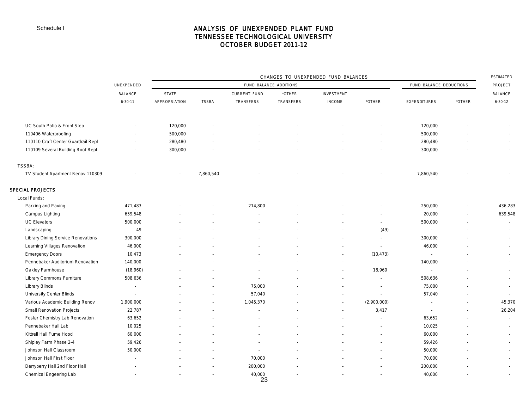# ANALYSIS OF UNEXPENDED PLANT FUND TENNESSEE TECHNOLOGICAL UNIVERSITY OCTOBER BUDGET 2011-12

|                                           |                          | CHANGES TO UNEXPENDED FUND BALANCES |                          |                        |                  |               |                             |                          |        |                          |
|-------------------------------------------|--------------------------|-------------------------------------|--------------------------|------------------------|------------------|---------------|-----------------------------|--------------------------|--------|--------------------------|
|                                           | UNEXPENDED               |                                     |                          | FUND BALANCE ADDITIONS |                  |               |                             | FUND BALANCE DEDUCTIONS  |        | PROJECT                  |
|                                           | <b>BALANCE</b>           | <b>STATE</b>                        |                          | <b>CURRENT FUND</b>    | *OTHER           | INVESTMENT    |                             |                          |        | <b>BALANCE</b>           |
|                                           | $6 - 30 - 11$            | APPROPRIATION                       | <b>TSSBA</b>             | TRANSFERS              | <b>TRANSFERS</b> | <b>INCOME</b> | *OTHER                      | <b>EXPENDITURES</b>      | *OTHER | $6 - 30 - 12$            |
|                                           |                          |                                     |                          |                        |                  |               |                             |                          |        |                          |
| UC South Patio & Front Step               |                          | 120,000                             |                          |                        |                  |               |                             | 120,000                  |        |                          |
| 110406 Waterproofing                      |                          | 500,000                             |                          |                        |                  |               |                             | 500,000                  |        |                          |
| 110110 Craft Center Guardrail Repl        |                          | 280,480                             |                          |                        |                  |               |                             | 280,480                  |        |                          |
| 110109 Several Building Roof Repl         |                          | 300,000                             |                          |                        |                  |               |                             | 300,000                  |        |                          |
| TSSBA:                                    |                          |                                     |                          |                        |                  |               |                             |                          |        |                          |
| TV Student Apartment Renov 110309         |                          |                                     | 7,860,540                |                        |                  |               |                             | 7,860,540                |        |                          |
| <b>SPECIAL PROJECTS</b>                   |                          |                                     |                          |                        |                  |               |                             |                          |        |                          |
| Local Funds:                              |                          |                                     |                          |                        |                  |               |                             |                          |        |                          |
| Parking and Paving                        | 471,483                  |                                     |                          | 214,800                |                  |               |                             | 250,000                  |        | 436,283                  |
| Campus Lighting                           | 659,548                  |                                     |                          |                        |                  |               | $\overline{\phantom{a}}$    | 20,000                   |        | 639,548                  |
| <b>UC Elevators</b>                       | 500,000                  |                                     |                          |                        |                  |               | $\sim$                      | 500,000                  |        | $\sim$                   |
| Landscaping                               | 49                       |                                     |                          |                        |                  |               | (49)                        | $\overline{\phantom{a}}$ |        |                          |
| <b>Library Dining Service Renovations</b> | 300,000                  |                                     |                          |                        |                  |               | $\overline{\phantom{a}}$    | 300,000                  |        |                          |
| Learning Villages Renovation              | 46,000                   |                                     |                          |                        |                  |               | $\overline{\phantom{a}}$    | 46,000                   |        | $\sim$                   |
| <b>Emergency Doors</b>                    | 10,473                   |                                     |                          |                        |                  |               | (10, 473)                   | $\mathcal{L}$            |        | $\sim$                   |
| Pennebaker Auditorium Renovation          | 140,000                  |                                     |                          |                        |                  | $\sim$        | $\mathcal{L}_{\mathcal{A}}$ | 140,000                  |        | $\overline{\phantom{a}}$ |
| Oakley Farmhouse                          | (18,960)                 |                                     |                          |                        |                  |               | 18,960                      | $\overline{\phantom{a}}$ |        | $\sim$                   |
| Library Commons Furniture                 | 508,636                  |                                     |                          |                        |                  |               | $\sim$                      | 508,636                  |        | $\sim$                   |
| <b>Library Blinds</b>                     | $\sim$                   |                                     |                          | 75,000                 |                  |               | $\overline{\phantom{a}}$    | 75,000                   |        | $\sim$                   |
| <b>University Center Blinds</b>           | $\overline{\phantom{a}}$ |                                     |                          | 57,040                 |                  |               | $\overline{\phantom{a}}$    | 57,040                   |        | $\sim$                   |
| Various Academic Building Renov           | 1,900,000                |                                     |                          | 1,045,370              |                  |               | (2,900,000)                 | $\sim$                   |        | 45,370                   |
| Small Renovation Projects                 | 22,787                   |                                     |                          |                        |                  |               | 3,417                       | ÷.                       |        | 26,204                   |
| Foster Chemistry Lab Renovation           | 63,652                   |                                     |                          |                        |                  |               |                             | 63,652                   |        |                          |
| Pennebaker Hall Lab                       | 10,025                   |                                     |                          |                        |                  |               |                             | 10,025                   |        |                          |
| Kittrell Hall Fume Hood                   | 60,000                   |                                     |                          |                        |                  |               |                             | 60,000                   |        | $\sim$                   |
| Shipley Farm Phase 2-4                    | 59,426                   |                                     |                          |                        |                  |               |                             | 59,426                   |        |                          |
| Johnson Hall Classroom                    | 50,000                   |                                     |                          | $\sim$                 |                  |               |                             | 50,000                   |        |                          |
| Johnson Hall First Floor                  | $\overline{\phantom{a}}$ |                                     |                          | 70,000                 |                  |               |                             | 70,000                   |        |                          |
| Derryberry Hall 2nd Floor Hall            | $\blacksquare$           |                                     | $\sim$                   | 200,000                |                  |               |                             | 200,000                  |        | $\sim$                   |
| Chemical Engeering Lab                    | $\overline{\phantom{a}}$ |                                     | $\overline{\phantom{a}}$ | 40,000                 |                  |               |                             | 40,000                   |        |                          |

23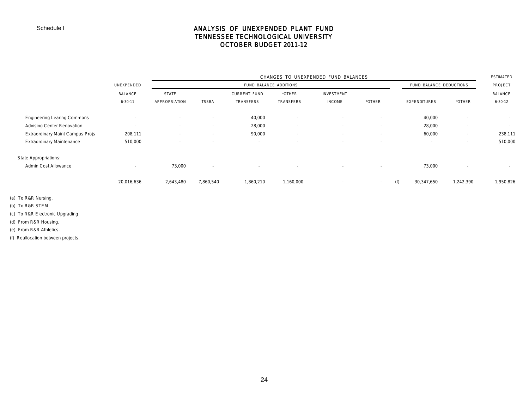# ANALYSIS OF UNEXPENDED PLANT FUND TENNESSEE TECHNOLOGICAL UNIVERSITY OCTOBER BUDGET 2011-12

|                                    |               | CHANGES TO UNEXPENDED FUND BALANCES |                          |                          |                          |                          |                          |                          |                          |               |
|------------------------------------|---------------|-------------------------------------|--------------------------|--------------------------|--------------------------|--------------------------|--------------------------|--------------------------|--------------------------|---------------|
|                                    | UNEXPENDED    |                                     |                          | FUND BALANCE ADDITIONS   |                          | FUND BALANCE DEDUCTIONS  |                          |                          |                          |               |
|                                    | BALANCE       | <b>STATE</b>                        |                          | <b>CURRENT FUND</b>      | *OTHER                   | INVESTMENT               |                          |                          |                          | BALANCE       |
|                                    | $6 - 30 - 11$ | APPROPRIATION                       | <b>TSSBA</b>             | TRANSFERS                | TRANSFERS                | <b>INCOME</b>            | *OTHER                   | <b>EXPENDITURES</b>      | *OTHER                   | $6 - 30 - 12$ |
| <b>Engineering Learing Commons</b> |               | $\overline{\phantom{a}}$            | $\overline{\phantom{a}}$ | 40,000                   | $\overline{\phantom{a}}$ | $\overline{\phantom{a}}$ | $\overline{\phantom{a}}$ | 40,000                   | $\overline{\phantom{a}}$ | $\sim$        |
| <b>Advising Center Renovation</b>  |               | $\sim$                              | $\overline{\phantom{a}}$ | 28,000                   | $\overline{\phantom{a}}$ | $\overline{\phantom{a}}$ | $\overline{\phantom{a}}$ | 28,000                   | $\overline{\phantom{a}}$ | $\sim$        |
| Extraordinary Maint Campus Projs   | 208,111       | $\overline{\phantom{a}}$            | $\overline{\phantom{a}}$ | 90,000                   | $\overline{\phantom{a}}$ | $\overline{\phantom{a}}$ | $\overline{\phantom{a}}$ | 60,000                   | $\overline{\phantom{a}}$ | 238,111       |
| <b>Extraordinary Maintenance</b>   | 510,000       | $\overline{\phantom{a}}$            | $\overline{\phantom{a}}$ | $\overline{\phantom{a}}$ | $\overline{\phantom{a}}$ |                          | $\overline{\phantom{a}}$ | $\overline{\phantom{a}}$ | $\overline{\phantom{a}}$ | 510,000       |
| <b>State Appropriations:</b>       |               |                                     |                          |                          |                          |                          |                          |                          |                          |               |
| <b>Admin Cost Allowance</b>        | $\sim$        | 73,000                              | $\sim$                   | $\overline{\phantom{a}}$ | $\overline{\phantom{a}}$ | $\sim$                   | $\overline{\phantom{a}}$ | 73,000                   | $\sim$                   | $\sim$        |
|                                    | 20,016,636    | 2,643,480                           | 7,860,540                | 1,860,210                | 1,160,000                | $\overline{\phantom{a}}$ | $\sim$                   | (f)<br>30,347,650        | 1,242,390                | 1,950,826     |

(a) To R&R Nursing.

(b) To R&R STEM.

(c) To R&R Electronic Upgrading

(d) From R&R Housing.

(e) From R&R Athletics.

(f) Reallocation between projects.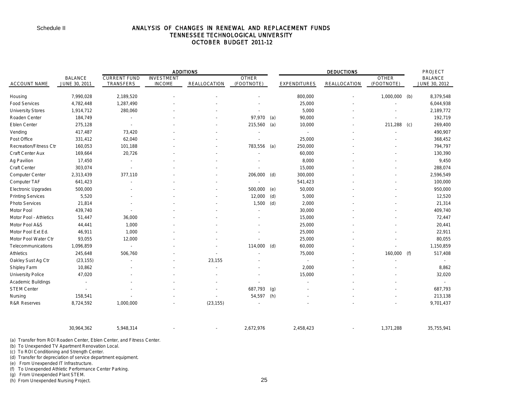### ANALYSIS OF CHANGES IN RENEWAL AND REPLACEMENT FUNDS TENNESSEE TECHNOLOGICAL UNIVERSITY OCTOBER BUDGET 2011-12

|                               |                                 |                                  |                                    | <b>ADDITIONS</b>    |                            |     |                          | PROJECT             |                            |     |                                 |
|-------------------------------|---------------------------------|----------------------------------|------------------------------------|---------------------|----------------------------|-----|--------------------------|---------------------|----------------------------|-----|---------------------------------|
| <b>ACCOUNT NAME</b>           | <b>BALANCE</b><br>JUNE 30, 2011 | <b>CURRENT FUND</b><br>TRANSFERS | <b>INVESTMENT</b><br><b>INCOME</b> | <b>REALLOCATION</b> | <b>OTHER</b><br>(FOOTNOTE) |     | <b>EXPENDITURES</b>      | <b>REALLOCATION</b> | <b>OTHER</b><br>(FOOTNOTE) |     | <b>BALANCE</b><br>JUNE 30, 2012 |
| Housing                       | 7,990,028                       | 2,189,520                        |                                    |                     |                            |     | 800,000                  |                     | $1,000,000$ (b)            |     | 8,379,548                       |
| <b>Food Services</b>          | 4,782,448                       | 1,287,490                        |                                    |                     |                            |     | 25,000                   |                     |                            |     | 6,044,938                       |
| <b>University Stores</b>      | 1,914,712                       | 280,060                          |                                    |                     |                            |     | 5,000                    |                     |                            |     | 2,189,772                       |
| Roaden Center                 | 184,749                         |                                  |                                    |                     | 97,970                     | (a) | 90,000                   |                     |                            |     | 192,719                         |
| Eblen Center                  | 275,128                         |                                  |                                    |                     | 215,560                    | (a) | 10,000                   |                     | 211,288                    | (c) | 269,400                         |
| Vending                       | 417,487                         | 73,420                           |                                    |                     |                            |     | $\overline{a}$           |                     |                            |     | 490,907                         |
| Post Office                   | 331,412                         | 62,040                           |                                    |                     |                            |     | 25,000                   |                     |                            |     | 368,452                         |
| <b>Recreation/Fitness Ctr</b> | 160,053                         | 101,188                          |                                    |                     | 783,556                    | (a) | 250,000                  |                     |                            |     | 794,797                         |
| Craft Center Aux              | 169,664                         | 20,726                           |                                    |                     |                            |     | 60,000                   |                     |                            |     | 130,390                         |
| Ag Pavilion                   | 17,450                          |                                  |                                    |                     |                            |     | 8,000                    |                     |                            |     | 9,450                           |
| Craft Center                  | 303,074                         |                                  |                                    |                     |                            |     | 15,000                   |                     |                            |     | 288,074                         |
| Computer Center               | 2,313,439                       | 377,110                          |                                    |                     | 206,000                    | (d) | 300,000                  |                     |                            |     | 2,596,549                       |
| Computer TAF                  | 641,423                         |                                  |                                    |                     |                            |     | 541,423                  |                     |                            |     | 100,000                         |
| <b>Electronic Upgrades</b>    | 500,000                         |                                  |                                    |                     | 500,000                    | (e) | 50,000                   |                     |                            |     | 950,000                         |
| <b>Printing Services</b>      | 5,520                           |                                  |                                    |                     | 12,000                     | (d) | 5,000                    |                     |                            |     | 12,520                          |
| Photo Services                | 21,814                          |                                  |                                    |                     | 1,500                      | (d) | 2,000                    |                     |                            |     | 21,314                          |
| Motor Pool                    | 439,740                         |                                  |                                    |                     |                            |     | 30,000                   |                     |                            |     | 409,740                         |
| Motor Pool - Athletics        | 51,447                          | 36,000                           |                                    |                     |                            |     | 15,000                   |                     |                            |     | 72,447                          |
| Motor Pool A&S                | 44,441                          | 1,000                            |                                    |                     |                            |     | 25,000                   |                     |                            |     | 20,441                          |
| Motor Pool Ext Ed.            | 46,911                          | 1,000                            |                                    |                     |                            |     | 25,000                   |                     |                            |     | 22,911                          |
| Motor Pool Water Ctr          | 93,055                          | 12,000                           |                                    |                     |                            |     | 25,000                   |                     |                            |     | 80,055                          |
| Telecommunications            | 1,096,859                       | $\sim$                           |                                    |                     | 114,000                    | (d) | 60,000                   |                     |                            |     | 1,150,859                       |
| Athletics                     | 245,648                         | 506,760                          |                                    |                     |                            |     | 75,000                   |                     | 160,000 (f)                |     | 517,408                         |
| Oakley Sust Ag Ctr            | (23, 155)                       |                                  |                                    | 23,155              |                            |     | $\overline{\phantom{a}}$ |                     |                            |     |                                 |
| Shipley Farm                  | 10,862                          |                                  |                                    |                     |                            |     | 2,000                    |                     |                            |     | 8,862                           |
| <b>University Police</b>      | 47,020                          |                                  |                                    |                     |                            |     | 15,000                   |                     |                            |     | 32,020                          |
| <b>Academic Buildings</b>     |                                 |                                  |                                    |                     |                            |     |                          |                     |                            |     |                                 |
| <b>STEM Center</b>            |                                 |                                  |                                    |                     | 687,793                    | (g) |                          |                     |                            |     | 687,793                         |
| Nursing                       | 158,541                         |                                  |                                    |                     | 54,597                     | (h) |                          |                     |                            |     | 213,138                         |
| <b>R&amp;R Reserves</b>       | 8,724,592                       | 1,000,000                        |                                    | (23, 155)           | $\overline{\phantom{a}}$   |     |                          |                     |                            |     | 9,701,437                       |

| 30,964,362 | .948,314 |  | 2.672.976 | 1 ລາ<br>$1 - c$<br>⊥ካ≻<br>542ء | $^{\circ}$ 71,288<br>$\sim$ -<br>. ، ت | <b>OF JEE 0.44</b><br>ブトト ロッ<br>, JJ. 74' |
|------------|----------|--|-----------|--------------------------------|----------------------------------------|-------------------------------------------|

(a) Transfer from ROI Roaden Center, Eblen Center, and Fitness Center.

(b) To Unexpended TV Apartment Renovation Local.

(c) To ROI Conditioning and Strength Center.

(d) Transfer for depreciation of service department equipment.

(e) From Unexpended IT Infrastructure.

(f) To Unexpended Athletic Performance Center Parking.

(g) From Unexpended Plant STEM.

(h) From Unexpended Nursing Project.